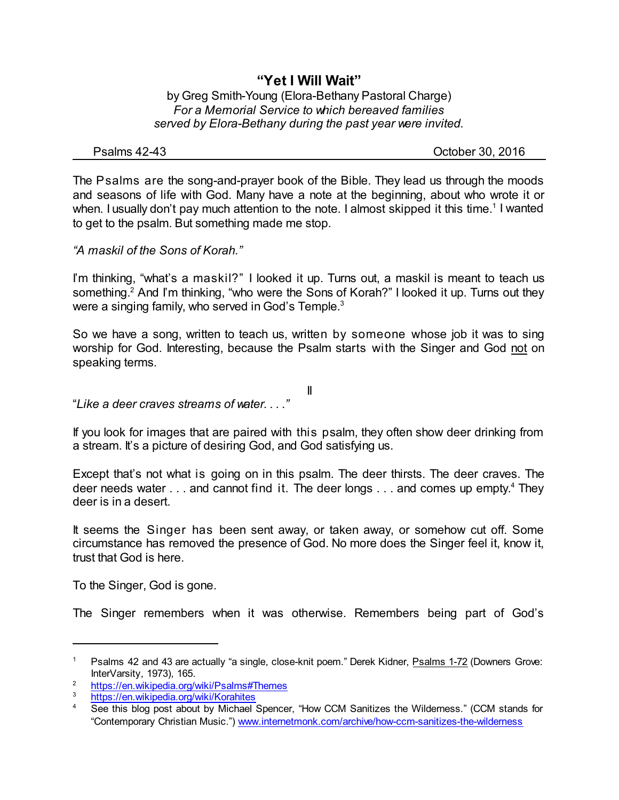## **"Yet I Will Wait"**

by Greg Smith-Young (Elora-Bethany Pastoral Charge) *For a Memorial Service to which bereaved families served by Elora-Bethany during the past year were invited.*

Psalms 42-43 October 30, 2016

The Psalms are the song-and-prayer book of the Bible. They lead us through the moods and seasons of life with God. Many have a note at the beginning, about who wrote it or when. I usually don't pay much attention to the note. I almost skipped it this time.<sup>1</sup> I wanted to get to the psalm. But something made me stop.

*"A maskil of the Sons of Korah."*

I'm thinking, "what's a maskil?" I looked it up. Turns out, a maskil is meant to teach us something.<sup>2</sup> And I'm thinking, "who were the Sons of Korah?" I looked it up. Turns out they were a singing family, who served in God's Temple.<sup>3</sup>

So we have a song, written to teach us, written by someone whose job it was to sing worship for God. Interesting, because the Psalm starts with the Singer and God not on speaking terms.

II

"*Like a deer craves streams of water. . . ."*

If you look for images that are paired with this psalm, they often show deer drinking from a stream. It's a picture of desiring God, and God satisfying us.

Except that's not what is going on in this psalm. The deer thirsts. The deer craves. The deer needs water . . . and cannot find it. The deer longs . . . and comes up empty.<sup>4</sup> They deer is in a desert.

It seems the Singer has been sent away, or taken away, or somehow cut off. Some circumstance has removed the presence of God. No more does the Singer feel it, know it, trust that God is here.

To the Singer, God is gone.

The Singer remembers when it was otherwise. Remembers being part of God's

<sup>&</sup>lt;sup>1</sup> Psalms 42 and 43 are actually "a single, close-knit poem." Derek Kidner, Psalms 1-72 (Downers Grove: InterVarsity, 1973), 165.

<sup>&</sup>lt;sup>2</sup> <https://en.wikipedia.org/wiki/Psalms#Themes>

<https://en.wikipedia.org/wiki/Korahites>

<sup>4</sup> See this blog post about by Michael Spencer, "How CCM Sanitizes the Wilderness." (CCM stands for "Contemporary Christian Music.") [www.internetmonk.com/archive/how-ccm-sanitizes-the-wilderness](http://www.internetmonk.com/archive/how-ccm-sanitizes-the-wilderness)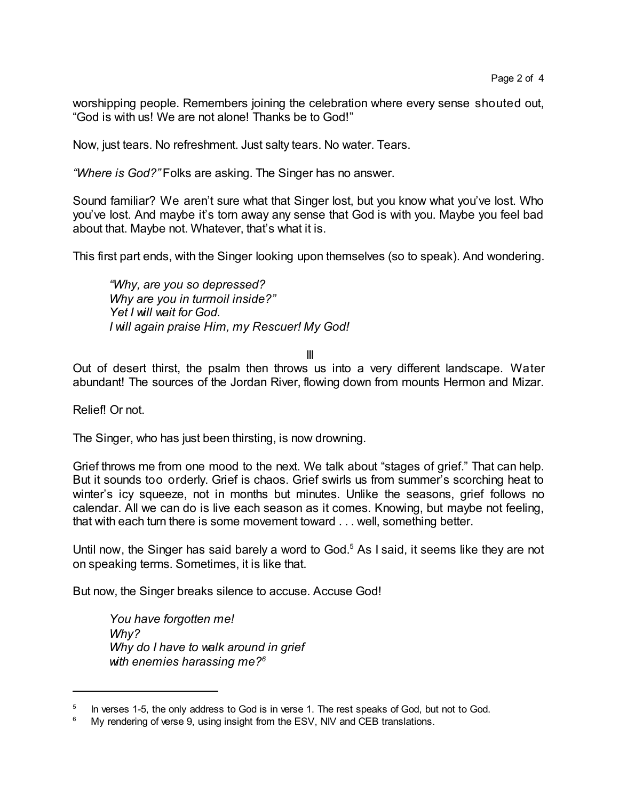worshipping people. Remembers joining the celebration where every sense shouted out, "God is with us! We are not alone! Thanks be to God!"

Now, just tears. No refreshment. Just salty tears. No water. Tears.

*"Where is God?"* Folks are asking. The Singer has no answer.

Sound familiar? We aren't sure what that Singer lost, but you know what you've lost. Who you've lost. And maybe it's torn away any sense that God is with you. Maybe you feel bad about that. Maybe not. Whatever, that's what it is.

This first part ends, with the Singer looking upon themselves (so to speak). And wondering.

*"Why, are you so depressed? Why are you in turmoil inside?" Yet I will wait for God. I will again praise Him, my Rescuer! My God!*

## III

Out of desert thirst, the psalm then throws us into a very different landscape. Water abundant! The sources of the Jordan River, flowing down from mounts Hermon and Mizar.

Relief! Or not.

The Singer, who has just been thirsting, is now drowning.

Grief throws me from one mood to the next. We talk about "stages of grief." That can help. But it sounds too orderly. Grief is chaos. Grief swirls us from summer's scorching heat to winter's icy squeeze, not in months but minutes. Unlike the seasons, grief follows no calendar. All we can do is live each season as it comes. Knowing, but maybe not feeling, that with each turn there is some movement toward . . . well, something better.

Until now, the Singer has said barely a word to God.<sup>5</sup> As I said, it seems like they are not on speaking terms. Sometimes, it is like that.

But now, the Singer breaks silence to accuse. Accuse God!

*You have forgotten me! Why? Why do I have to walk around in grief with enemies harassing me?<sup>6</sup>*

<sup>5</sup> In verses 1-5, the only address to God is in verse 1. The rest speaks of God, but not to God.

<sup>&</sup>lt;sup>6</sup> My rendering of verse 9, using insight from the ESV, NIV and CEB translations.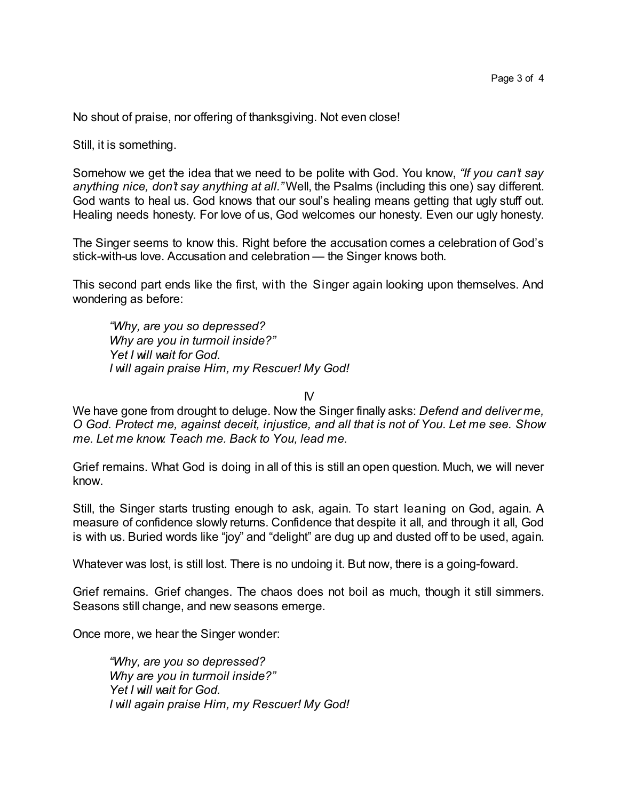No shout of praise, nor offering of thanksgiving. Not even close!

Still, it is something.

Somehow we get the idea that we need to be polite with God. You know, *"If you can't say anything nice, don't say anything at all."* Well, the Psalms (including this one) say different. God wants to heal us. God knows that our soul's healing means getting that ugly stuff out. Healing needs honesty. For love of us, God welcomes our honesty. Even our ugly honesty.

The Singer seems to know this. Right before the accusation comes a celebration of God's stick-with-us love. Accusation and celebration — the Singer knows both.

This second part ends like the first, with the Singer again looking upon themselves. And wondering as before:

*"Why, are you so depressed? Why are you in turmoil inside?" Yet I will wait for God. I will again praise Him, my Rescuer! My God!*

 $\mathsf{N}$ 

We have gone from drought to deluge. Now the Singer finally asks: *Defend and deliver me, O God. Protect me, against deceit, injustice, and all that is not of You. Let me see. Show me. Let me know. Teach me. Back to You, lead me.*

Grief remains. What God is doing in all of this is still an open question. Much, we will never know.

Still, the Singer starts trusting enough to ask, again. To start leaning on God, again. A measure of confidence slowly returns. Confidence that despite it all, and through it all, God is with us. Buried words like "joy" and "delight" are dug up and dusted off to be used, again.

Whatever was lost, is still lost. There is no undoing it. But now, there is a going-foward.

Grief remains. Grief changes. The chaos does not boil as much, though it still simmers. Seasons still change, and new seasons emerge.

Once more, we hear the Singer wonder:

*"Why, are you so depressed? Why are you in turmoil inside?" Yet I will wait for God. I will again praise Him, my Rescuer! My God!*